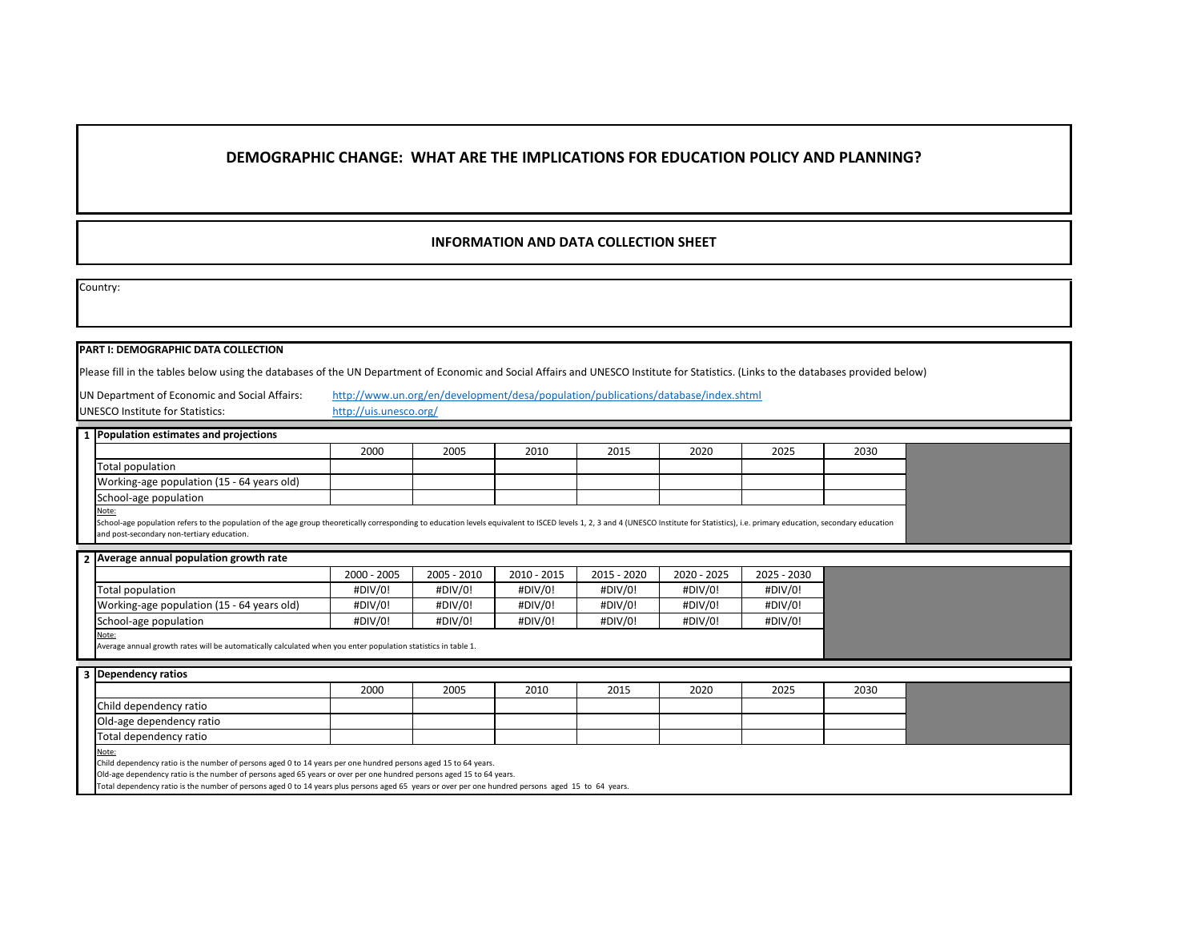# **DEMOGRAPHIC CHANGE: WHAT ARE THE IMPLICATIONS FOR EDUCATION POLICY AND PLANNING?**

## **INFORMATION AND DATA COLLECTION SHEET**

Country:

### **PART I: DEMOGRAPHIC DATA COLLECTION**

Please fill in the tables below using the databases of the UN Department of Economic and Social Affairs and UNESCO Institute for Statistics. (Links to the databases provided below)

UN Department of Economic and Social Affairs: UNESCO Institute for Statistics:

[http://www.un.o](http://www.un.org/en/development/desa/population/publications/database/index.shtml)rg/en/development/desa/population/publications/database/index.shtml

[http://uis.unesco](http://uis.unesco.org/).org/

| 1 Population estimates and projections     |      |      |      |      |      |      |      |  |
|--------------------------------------------|------|------|------|------|------|------|------|--|
|                                            | 2000 | 2005 | 2010 | 2015 | 2020 | 2025 | 2030 |  |
| Total population                           |      |      |      |      |      |      |      |  |
| Working-age population (15 - 64 years old) |      |      |      |      |      |      |      |  |
| School-age population                      |      |      |      |      |      |      |      |  |
| Note:                                      |      |      |      |      |      |      |      |  |

School-age population refers to the population of the age group theoretically corresponding to education levels equivalent to ISCED levels 1, 2, 3 and 4 (UNESCO Institute for Statistics), i.e. primary education, secondary and post-secondary non-tertiary education.

|  | 2 Average annual population growth rate |  |  |  |  |
|--|-----------------------------------------|--|--|--|--|
|--|-----------------------------------------|--|--|--|--|

|                                            | 2000 - 2005 | 2005 - 2010 | 2010 - 2015 | 2015 - 2020 | 2020 - 2025 | 2025 - 2030 |
|--------------------------------------------|-------------|-------------|-------------|-------------|-------------|-------------|
| Total population                           | #DIV/0!     | #DIV/0!     | #DIV/0!     | #DIV/0!     | #DIV/0!     | #DIV/0!     |
| Working-age population (15 - 64 years old) | #DIV/0!     | #DIV/0!     | #DIV/0!     | #DIV/0!     | #DIV/0!     | #DIV/0!     |
| School-age population                      | #DIV/0!     | #DIV/0!     | #DIV/0!     | #DIV/0!     | #DIV/0!     | #DIV/0!     |

Note: Average annual growth rates will be automatically calculated when you enter population statistics in table 1.

| 3 Dependency ratios      |      |      |      |      |      |      |      |  |
|--------------------------|------|------|------|------|------|------|------|--|
|                          | 2000 | 2005 | 2010 | 2015 | 2020 | 2025 | 2030 |  |
| Child dependency ratio   |      |      |      |      |      |      |      |  |
| Old-age dependency ratio |      |      |      |      |      |      |      |  |
| Total dependency ratio   |      |      |      |      |      |      |      |  |
| $N = 1$                  |      |      |      |      |      |      |      |  |

<u>Note:</u><br>Child dependency ratio is the number of persons aged 0 to 14 years per one hundred persons aged 15 to 64 years.

Old-age dependency ratio is the number of persons aged 65 years or over per one hundred persons aged 15 to 64 years.

Total dependency ratio is the number of persons aged 0 to 14 years plus persons aged 65 years or over per one hundred persons aged 15 to 64 years.